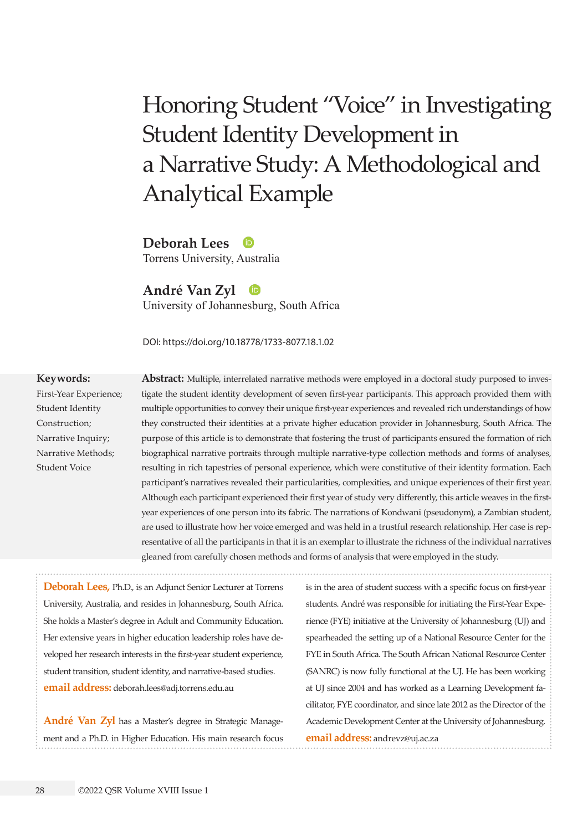# Honoring Student "Voice" in Investigating Student Identity Development in a Narrative Study: A Methodological and Analytical Example

**Deborah Lees ID** 

Torrens University, Australia

### **André Van Zyl**

University of Johannesburg, South Africa

DOI: https://doi.org/10.18778/1733-8077.18.1.02

#### **Keywords:**

First-Year Experience; Student Identity Construction; Narrative Inquiry; Narrative Methods; Student Voice

**Abstract:** Multiple, interrelated narrative methods were employed in a doctoral study purposed to investigate the student identity development of seven first-year participants. This approach provided them with multiple opportunities to convey their unique first-year experiences and revealed rich understandings of how they constructed their identities at a private higher education provider in Johannesburg, South Africa. The purpose of this article is to demonstrate that fostering the trust of participants ensured the formation of rich biographical narrative portraits through multiple narrative-type collection methods and forms of analyses, resulting in rich tapestries of personal experience, which were constitutive of their identity formation. Each participant's narratives revealed their particularities, complexities, and unique experiences of their first year. Although each participant experienced their first year of study very differently, this article weaves in the firstyear experiences of one person into its fabric. The narrations of Kondwani (pseudonym), a Zambian student, are used to illustrate how her voice emerged and was held in a trustful research relationship. Her case is representative of all the participants in that it is an exemplar to illustrate the richness of the individual narratives gleaned from carefully chosen methods and forms of analysis that were employed in the study.

**Deborah Lees,** Ph.D., is an Adjunct Senior Lecturer at Torrens University, Australia, and resides in Johannesburg, South Africa. She holds a Master's degree in Adult and Community Education. Her extensive years in higher education leadership roles have developed her research interests in the first-year student experience, student transition, student identity, and narrative-based studies. **email address:** [deborah.lees@adj.torrens.edu.au](mailto:deborah.lees%40adj.torrens.edu.au?subject=)

**André Van Zyl** has a Master's degree in Strategic Management and a Ph.D. in Higher Education. His main research focus is in the area of student success with a specific focus on first-year students. André was responsible for initiating the First-Year Experience (FYE) initiative at the University of Johannesburg (UJ) and spearheaded the setting up of a National Resource Center for the FYE in South Africa. The South African National Resource Center (SANRC) is now fully functional at the UJ. He has been working at UJ since 2004 and has worked as a Learning Development facilitator, FYE coordinator, and since late 2012 as the Director of the Academic Development Center at the University of Johannesburg. **email address:** [andrevz@uj.ac.za](mailto:andrevz@uj.ac.za)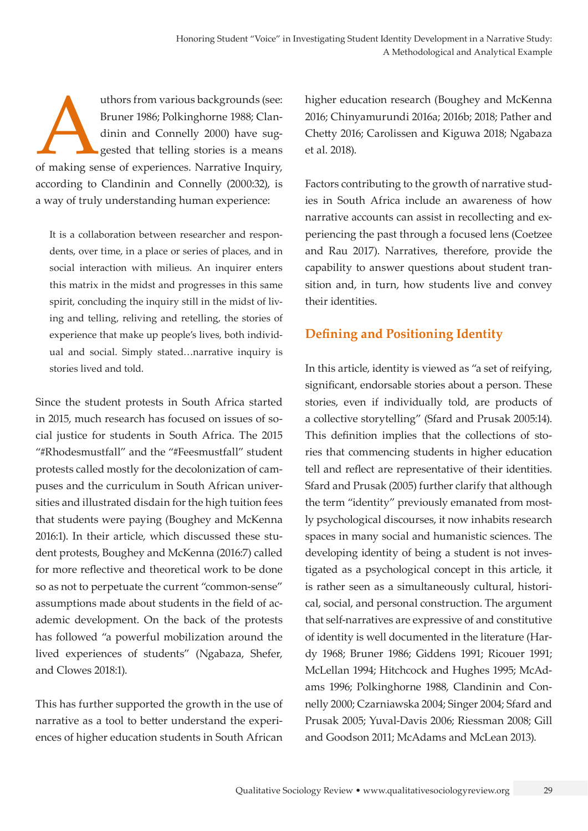uthors from various backgrounds (see:<br>
Bruner 1986; Polkinghorne 1988; Clan-<br>
dinin and Connelly 2000) have sug-<br>
gested that telling stories is a means<br>
of making sense of experiences. Narrative Inquiry, Bruner 1986; Polkinghorne 1988; Clandinin and Connelly 2000) have suggested that telling stories is a means according to Clandinin and Connelly (2000:32), is a way of truly understanding human experience:

It is a collaboration between researcher and respondents, over time, in a place or series of places, and in social interaction with milieus. An inquirer enters this matrix in the midst and progresses in this same spirit, concluding the inquiry still in the midst of living and telling, reliving and retelling, the stories of experience that make up people's lives, both individual and social. Simply stated…narrative inquiry is stories lived and told.

Since the student protests in South Africa started in 2015, much research has focused on issues of social justice for students in South Africa. The 2015 "#Rhodesmustfall" and the "#Feesmustfall" student protests called mostly for the decolonization of campuses and the curriculum in South African universities and illustrated disdain for the high tuition fees that students were paying (Boughey and McKenna 2016:1). In their article, which discussed these student protests, Boughey and McKenna (2016:7) called for more reflective and theoretical work to be done so as not to perpetuate the current "common-sense" assumptions made about students in the field of academic development. On the back of the protests has followed "a powerful mobilization around the lived experiences of students" (Ngabaza, Shefer, and Clowes 2018:1).

This has further supported the growth in the use of narrative as a tool to better understand the experiences of higher education students in South African higher education research (Boughey and McKenna 2016; Chinyamurundi 2016a; 2016b; 2018; Pather and Chetty 2016; Carolissen and Kiguwa 2018; Ngabaza et al. 2018).

Factors contributing to the growth of narrative studies in South Africa include an awareness of how narrative accounts can assist in recollecting and experiencing the past through a focused lens (Coetzee and Rau 2017). Narratives, therefore, provide the capability to answer questions about student transition and, in turn, how students live and convey their identities.

# **Defining and Positioning Identity**

In this article, identity is viewed as "a set of reifying, significant, endorsable stories about a person. These stories, even if individually told, are products of a collective storytelling" (Sfard and Prusak 2005:14). This definition implies that the collections of stories that commencing students in higher education tell and reflect are representative of their identities. Sfard and Prusak (2005) further clarify that although the term "identity" previously emanated from mostly psychological discourses, it now inhabits research spaces in many social and humanistic sciences. The developing identity of being a student is not investigated as a psychological concept in this article, it is rather seen as a simultaneously cultural, historical, social, and personal construction. The argument that self-narratives are expressive of and constitutive of identity is well documented in the literature (Hardy 1968; Bruner 1986; Giddens 1991; Ricouer 1991; McLellan 1994; Hitchcock and Hughes 1995; McAdams 1996; Polkinghorne 1988, Clandinin and Connelly 2000; Czarniawska 2004; Singer 2004; Sfard and Prusak 2005; Yuval-Davis 2006; Riessman 2008; Gill and Goodson 2011; McAdams and McLean 2013).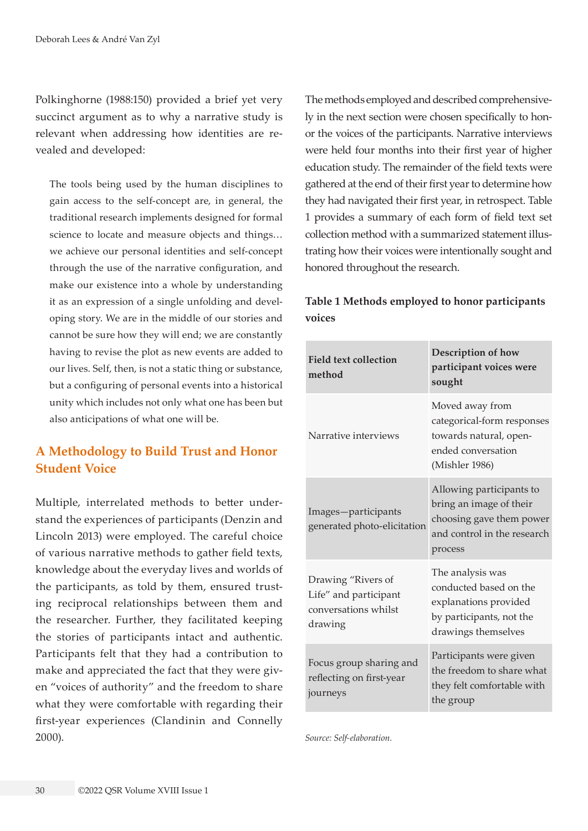Polkinghorne (1988:150) provided a brief yet very succinct argument as to why a narrative study is relevant when addressing how identities are revealed and developed:

The tools being used by the human disciplines to gain access to the self-concept are, in general, the traditional research implements designed for formal science to locate and measure objects and things… we achieve our personal identities and self-concept through the use of the narrative configuration, and make our existence into a whole by understanding it as an expression of a single unfolding and developing story. We are in the middle of our stories and cannot be sure how they will end; we are constantly having to revise the plot as new events are added to our lives. Self, then, is not a static thing or substance, but a configuring of personal events into a historical unity which includes not only what one has been but also anticipations of what one will be.

# **A Methodology to Build Trust and Honor Student Voice**

Multiple, interrelated methods to better understand the experiences of participants (Denzin and Lincoln 2013) were employed. The careful choice of various narrative methods to gather field texts, knowledge about the everyday lives and worlds of the participants, as told by them, ensured trusting reciprocal relationships between them and the researcher. Further, they facilitated keeping the stories of participants intact and authentic. Participants felt that they had a contribution to make and appreciated the fact that they were given "voices of authority" and the freedom to share what they were comfortable with regarding their first-year experiences (Clandinin and Connelly 2000).

The methods employed and described comprehensively in the next section were chosen specifically to honor the voices of the participants. Narrative interviews were held four months into their first year of higher education study. The remainder of the field texts were gathered at the end of their first year to determine how they had navigated their first year, in retrospect. Table 1 provides a summary of each form of field text set collection method with a summarized statement illustrating how their voices were intentionally sought and honored throughout the research.

## **Table 1 Methods employed to honor participants voices**

| <b>Field text collection</b><br>method                                         | Description of how<br>participant voices were<br>sought                                                                   |
|--------------------------------------------------------------------------------|---------------------------------------------------------------------------------------------------------------------------|
| Narrative interviews                                                           | Moved away from<br>categorical-form responses<br>towards natural, open-<br>ended conversation<br>(Mishler 1986)           |
| Images-participants<br>generated photo-elicitation                             | Allowing participants to<br>bring an image of their<br>choosing gave them power<br>and control in the research<br>process |
| Drawing "Rivers of<br>Life" and participant<br>conversations whilst<br>drawing | The analysis was<br>conducted based on the<br>explanations provided<br>by participants, not the<br>drawings themselves    |
| Focus group sharing and<br>reflecting on first-year<br>journeys                | Participants were given<br>the freedom to share what<br>they felt comfortable with<br>the group                           |

*Source: Self-elaboration.*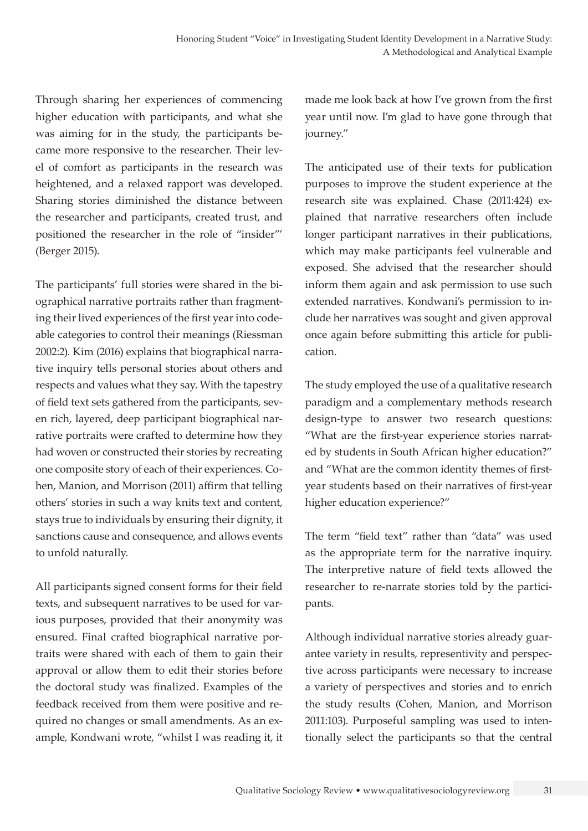Through sharing her experiences of commencing higher education with participants, and what she was aiming for in the study, the participants became more responsive to the researcher. Their level of comfort as participants in the research was heightened, and a relaxed rapport was developed. Sharing stories diminished the distance between the researcher and participants, created trust, and positioned the researcher in the role of "insider"' (Berger 2015).

The participants' full stories were shared in the biographical narrative portraits rather than fragmenting their lived experiences of the first year into codeable categories to control their meanings (Riessman 2002:2). Kim (2016) explains that biographical narrative inquiry tells personal stories about others and respects and values what they say. With the tapestry of field text sets gathered from the participants, seven rich, layered, deep participant biographical narrative portraits were crafted to determine how they had woven or constructed their stories by recreating one composite story of each of their experiences. Cohen, Manion, and Morrison (2011) affirm that telling others' stories in such a way knits text and content, stays true to individuals by ensuring their dignity, it sanctions cause and consequence, and allows events to unfold naturally.

All participants signed consent forms for their field texts, and subsequent narratives to be used for various purposes, provided that their anonymity was ensured. Final crafted biographical narrative portraits were shared with each of them to gain their approval or allow them to edit their stories before the doctoral study was finalized. Examples of the feedback received from them were positive and required no changes or small amendments. As an example, Kondwani wrote, "whilst I was reading it, it made me look back at how I've grown from the first year until now. I'm glad to have gone through that journey."

The anticipated use of their texts for publication purposes to improve the student experience at the research site was explained. Chase (2011:424) explained that narrative researchers often include longer participant narratives in their publications, which may make participants feel vulnerable and exposed. She advised that the researcher should inform them again and ask permission to use such extended narratives. Kondwani's permission to include her narratives was sought and given approval once again before submitting this article for publication.

The study employed the use of a qualitative research paradigm and a complementary methods research design-type to answer two research questions: "What are the first-year experience stories narrated by students in South African higher education?" and "What are the common identity themes of firstyear students based on their narratives of first-year higher education experience?"

The term "field text" rather than "data" was used as the appropriate term for the narrative inquiry. The interpretive nature of field texts allowed the researcher to re-narrate stories told by the participants.

Although individual narrative stories already guarantee variety in results, representivity and perspective across participants were necessary to increase a variety of perspectives and stories and to enrich the study results (Cohen, Manion, and Morrison 2011:103). Purposeful sampling was used to intentionally select the participants so that the central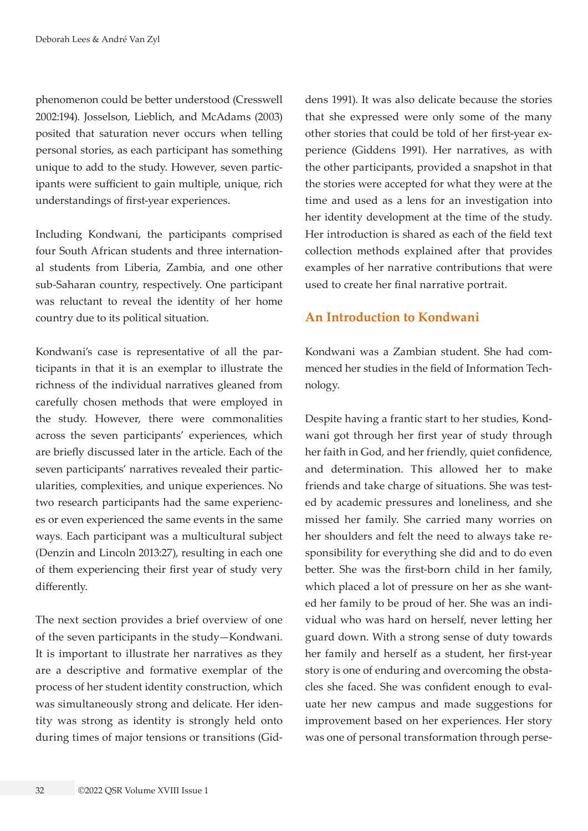phenomenon could be better understood (Cresswell 2002:194). Josselson, Lieblich, and McAdams (2003) posited that saturation never occurs when telling personal stories, as each participant has something unique to add to the study. However, seven participants were sufficient to gain multiple, unique, rich understandings of first-year experiences.

Including Kondwani, the participants comprised four South African students and three international students from Liberia, Zambia, and one other sub-Saharan country, respectively. One participant was reluctant to reveal the identity of her home country due to its political situation.

Kondwani's case is representative of all the participants in that it is an exemplar to illustrate the richness of the individual narratives gleaned from carefully chosen methods that were employed in the study. However, there were commonalities across the seven participants' experiences, which are briefly discussed later in the article. Each of the seven participants' narratives revealed their particularities, complexities, and unique experiences. No two research participants had the same experiences or even experienced the same events in the same ways. Each participant was a multicultural subject (Denzin and Lincoln 2013:27), resulting in each one of them experiencing their first year of study very differently.

The next section provides a brief overview of one of the seven participants in the study—Kondwani. It is important to illustrate her narratives as they are a descriptive and formative exemplar of the process of her student identity construction, which was simultaneously strong and delicate. Her identity was strong as identity is strongly held onto during times of major tensions or transitions (Gid-

dens 1991). It was also delicate because the stories that she expressed were only some of the many other stories that could be told of her first-year experience (Giddens 1991). Her narratives, as with the other participants, provided a snapshot in that the stories were accepted for what they were at the time and used as a lens for an investigation into her identity development at the time of the study. Her introduction is shared as each of the field text collection methods explained after that provides examples of her narrative contributions that were used to create her final narrative portrait.

# **An Introduction to Kondwani**

Kondwani was a Zambian student. She had commenced her studies in the field of Information Technology.

Despite having a frantic start to her studies, Kondwani got through her first year of study through her faith in God, and her friendly, quiet confidence, and determination. This allowed her to make friends and take charge of situations. She was tested by academic pressures and loneliness, and she missed her family. She carried many worries on her shoulders and felt the need to always take responsibility for everything she did and to do even better. She was the first-born child in her family, which placed a lot of pressure on her as she wanted her family to be proud of her. She was an individual who was hard on herself, never letting her guard down. With a strong sense of duty towards her family and herself as a student, her first-year story is one of enduring and overcoming the obstacles she faced. She was confident enough to evaluate her new campus and made suggestions for improvement based on her experiences. Her story was one of personal transformation through perse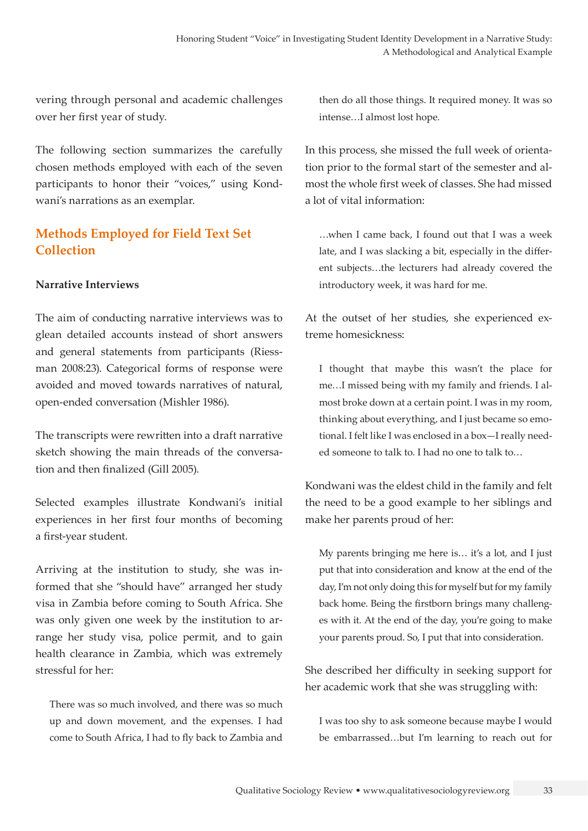vering through personal and academic challenges over her first year of study.

The following section summarizes the carefully chosen methods employed with each of the seven participants to honor their "voices," using Kondwani's narrations as an exemplar.

# **Methods Employed for Field Text Set Collection**

#### **Narrative Interviews**

The aim of conducting narrative interviews was to glean detailed accounts instead of short answers and general statements from participants (Riessman 2008:23). Categorical forms of response were avoided and moved towards narratives of natural, open-ended conversation (Mishler 1986).

The transcripts were rewritten into a draft narrative sketch showing the main threads of the conversation and then finalized (Gill 2005).

Selected examples illustrate Kondwani's initial experiences in her first four months of becoming a first-year student.

Arriving at the institution to study, she was informed that she "should have" arranged her study visa in Zambia before coming to South Africa. She was only given one week by the institution to arrange her study visa, police permit, and to gain health clearance in Zambia, which was extremely stressful for her:

There was so much involved, and there was so much up and down movement, and the expenses. I had come to South Africa, I had to fly back to Zambia and

then do all those things. It required money. It was so intense…I almost lost hope.

In this process, she missed the full week of orientation prior to the formal start of the semester and almost the whole first week of classes. She had missed a lot of vital information:

…when I came back, I found out that I was a week late, and I was slacking a bit, especially in the different subjects…the lecturers had already covered the introductory week, it was hard for me.

At the outset of her studies, she experienced extreme homesickness:

I thought that maybe this wasn't the place for me…I missed being with my family and friends. I almost broke down at a certain point. I was in my room, thinking about everything, and I just became so emotional. I felt like I was enclosed in a box—I really needed someone to talk to. I had no one to talk to…

Kondwani was the eldest child in the family and felt the need to be a good example to her siblings and make her parents proud of her:

My parents bringing me here is… it's a lot, and I just put that into consideration and know at the end of the day, I'm not only doing this for myself but for my family back home. Being the firstborn brings many challenges with it. At the end of the day, you're going to make your parents proud. So, I put that into consideration.

She described her difficulty in seeking support for her academic work that she was struggling with:

I was too shy to ask someone because maybe I would be embarrassed…but I'm learning to reach out for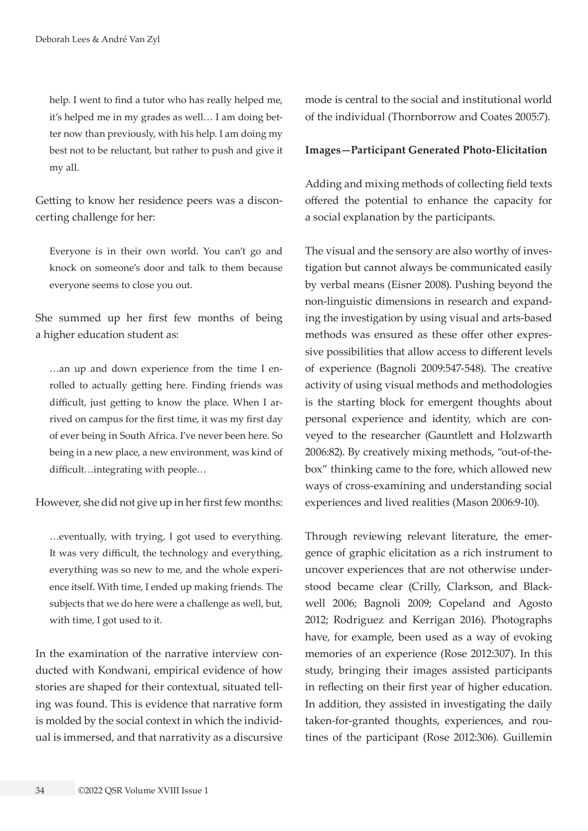help. I went to find a tutor who has really helped me, it's helped me in my grades as well… I am doing better now than previously, with his help. I am doing my best not to be reluctant, but rather to push and give it my all.

Getting to know her residence peers was a disconcerting challenge for her:

Everyone is in their own world. You can't go and knock on someone's door and talk to them because everyone seems to close you out.

She summed up her first few months of being a higher education student as:

…an up and down experience from the time I enrolled to actually getting here. Finding friends was difficult, just getting to know the place. When I arrived on campus for the first time, it was my first day of ever being in South Africa. I've never been here. So being in a new place, a new environment, was kind of difficult…integrating with people…

However, she did not give up in her first few months:

…eventually, with trying, I got used to everything. It was very difficult, the technology and everything, everything was so new to me, and the whole experience itself. With time, I ended up making friends. The subjects that we do here were a challenge as well, but, with time, I got used to it.

In the examination of the narrative interview conducted with Kondwani, empirical evidence of how stories are shaped for their contextual, situated telling was found. This is evidence that narrative form is molded by the social context in which the individual is immersed, and that narrativity as a discursive mode is central to the social and institutional world of the individual (Thornborrow and Coates 2005:7).

#### **Images—Participant Generated Photo-Elicitation**

Adding and mixing methods of collecting field texts offered the potential to enhance the capacity for a social explanation by the participants.

The visual and the sensory are also worthy of investigation but cannot always be communicated easily by verbal means (Eisner 2008). Pushing beyond the non-linguistic dimensions in research and expanding the investigation by using visual and arts-based methods was ensured as these offer other expressive possibilities that allow access to different levels of experience (Bagnoli 2009:547-548). The creative activity of using visual methods and methodologies is the starting block for emergent thoughts about personal experience and identity, which are conveyed to the researcher (Gauntlett and Holzwarth 2006:82). By creatively mixing methods, "out-of-thebox" thinking came to the fore, which allowed new ways of cross-examining and understanding social experiences and lived realities (Mason 2006:9-10).

Through reviewing relevant literature, the emergence of graphic elicitation as a rich instrument to uncover experiences that are not otherwise understood became clear (Crilly, Clarkson, and Blackwell 2006; Bagnoli 2009; Copeland and Agosto 2012; Rodriguez and Kerrigan 2016). Photographs have, for example, been used as a way of evoking memories of an experience (Rose 2012:307). In this study, bringing their images assisted participants in reflecting on their first year of higher education. In addition, they assisted in investigating the daily taken-for-granted thoughts, experiences, and routines of the participant (Rose 2012:306). Guillemin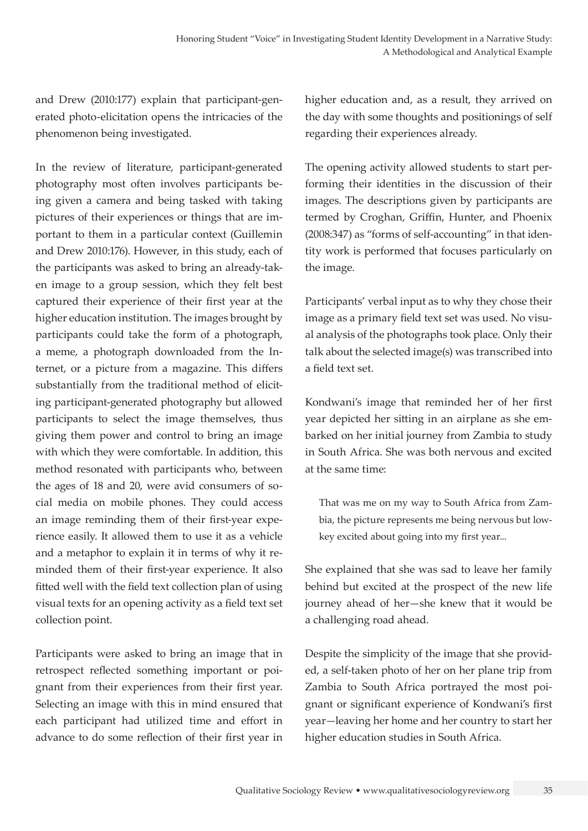and Drew (2010:177) explain that participant-generated photo-elicitation opens the intricacies of the phenomenon being investigated.

In the review of literature, participant-generated photography most often involves participants being given a camera and being tasked with taking pictures of their experiences or things that are important to them in a particular context (Guillemin and Drew 2010:176). However, in this study, each of the participants was asked to bring an already-taken image to a group session, which they felt best captured their experience of their first year at the higher education institution. The images brought by participants could take the form of a photograph, a meme, a photograph downloaded from the Internet, or a picture from a magazine. This differs substantially from the traditional method of eliciting participant-generated photography but allowed participants to select the image themselves, thus giving them power and control to bring an image with which they were comfortable. In addition, this method resonated with participants who, between the ages of 18 and 20, were avid consumers of social media on mobile phones. They could access an image reminding them of their first-year experience easily. It allowed them to use it as a vehicle and a metaphor to explain it in terms of why it reminded them of their first-year experience. It also fitted well with the field text collection plan of using visual texts for an opening activity as a field text set collection point.

Participants were asked to bring an image that in retrospect reflected something important or poignant from their experiences from their first year. Selecting an image with this in mind ensured that each participant had utilized time and effort in advance to do some reflection of their first year in higher education and, as a result, they arrived on the day with some thoughts and positionings of self regarding their experiences already.

The opening activity allowed students to start performing their identities in the discussion of their images. The descriptions given by participants are termed by Croghan, Griffin, Hunter, and Phoenix (2008:347) as "forms of self-accounting" in that identity work is performed that focuses particularly on the image.

Participants' verbal input as to why they chose their image as a primary field text set was used. No visual analysis of the photographs took place. Only their talk about the selected image(s) was transcribed into a field text set.

Kondwani's image that reminded her of her first year depicted her sitting in an airplane as she embarked on her initial journey from Zambia to study in South Africa. She was both nervous and excited at the same time:

That was me on my way to South Africa from Zambia, the picture represents me being nervous but lowkey excited about going into my first year...

She explained that she was sad to leave her family behind but excited at the prospect of the new life journey ahead of her—she knew that it would be a challenging road ahead.

Despite the simplicity of the image that she provided, a self-taken photo of her on her plane trip from Zambia to South Africa portrayed the most poignant or significant experience of Kondwani's first year—leaving her home and her country to start her higher education studies in South Africa.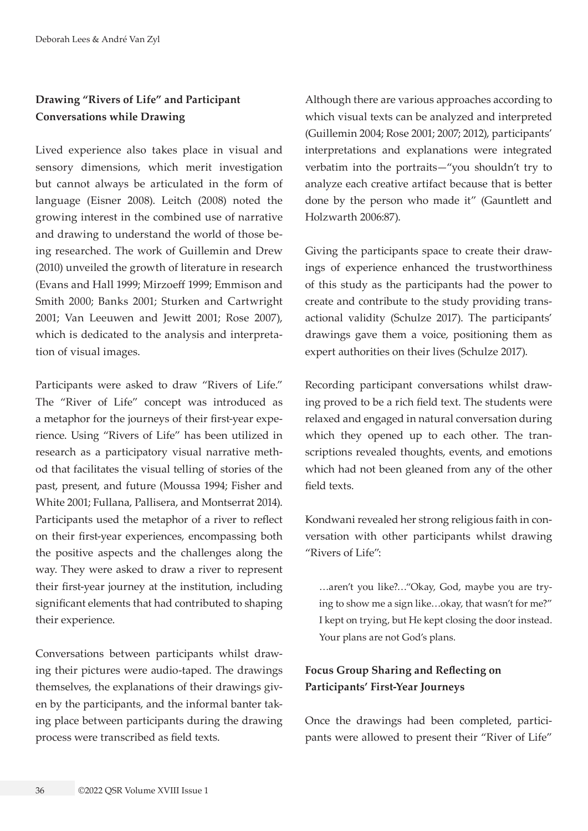# **Drawing "Rivers of Life" and Participant Conversations while Drawing**

Lived experience also takes place in visual and sensory dimensions, which merit investigation but cannot always be articulated in the form of language (Eisner 2008). Leitch (2008) noted the growing interest in the combined use of narrative and drawing to understand the world of those being researched. The work of Guillemin and Drew (2010) unveiled the growth of literature in research (Evans and Hall 1999; Mirzoeff 1999; Emmison and Smith 2000; Banks 2001; Sturken and Cartwright 2001; Van Leeuwen and Jewitt 2001; Rose 2007), which is dedicated to the analysis and interpretation of visual images.

Participants were asked to draw "Rivers of Life." The "River of Life" concept was introduced as a metaphor for the journeys of their first-year experience. Using "Rivers of Life" has been utilized in research as a participatory visual narrative method that facilitates the visual telling of stories of the past, present, and future (Moussa 1994; Fisher and White 2001; Fullana, Pallisera, and Montserrat 2014). Participants used the metaphor of a river to reflect on their first-year experiences, encompassing both the positive aspects and the challenges along the way. They were asked to draw a river to represent their first-year journey at the institution, including significant elements that had contributed to shaping their experience.

Conversations between participants whilst drawing their pictures were audio-taped. The drawings themselves, the explanations of their drawings given by the participants, and the informal banter taking place between participants during the drawing process were transcribed as field texts.

Although there are various approaches according to which visual texts can be analyzed and interpreted (Guillemin 2004; Rose 2001; 2007; 2012), participants' interpretations and explanations were integrated verbatim into the portraits—"you shouldn't try to analyze each creative artifact because that is better done by the person who made it" (Gauntlett and Holzwarth 2006:87).

Giving the participants space to create their drawings of experience enhanced the trustworthiness of this study as the participants had the power to create and contribute to the study providing transactional validity (Schulze 2017). The participants' drawings gave them a voice, positioning them as expert authorities on their lives (Schulze 2017).

Recording participant conversations whilst drawing proved to be a rich field text. The students were relaxed and engaged in natural conversation during which they opened up to each other. The transcriptions revealed thoughts, events, and emotions which had not been gleaned from any of the other field texts.

Kondwani revealed her strong religious faith in conversation with other participants whilst drawing "Rivers of Life":

…aren't you like?…"Okay, God, maybe you are trying to show me a sign like…okay, that wasn't for me?" I kept on trying, but He kept closing the door instead. Your plans are not God's plans.

# **Focus Group Sharing and Reflecting on Participants' First-Year Journeys**

Once the drawings had been completed, participants were allowed to present their "River of Life"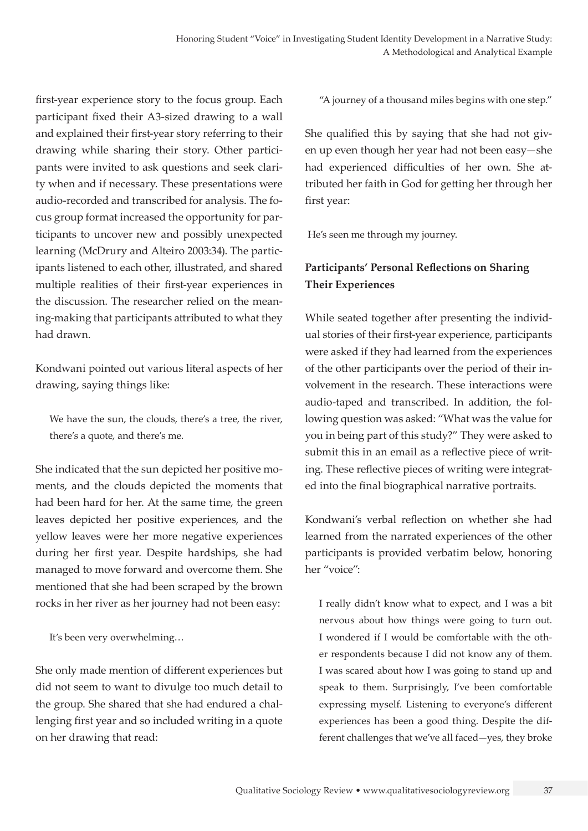first-year experience story to the focus group. Each participant fixed their A3-sized drawing to a wall and explained their first-year story referring to their drawing while sharing their story. Other participants were invited to ask questions and seek clarity when and if necessary. These presentations were audio-recorded and transcribed for analysis. The focus group format increased the opportunity for participants to uncover new and possibly unexpected learning (McDrury and Alteiro 2003:34). The participants listened to each other, illustrated, and shared multiple realities of their first-year experiences in the discussion. The researcher relied on the meaning-making that participants attributed to what they had drawn.

Kondwani pointed out various literal aspects of her drawing, saying things like:

We have the sun, the clouds, there's a tree, the river, there's a quote, and there's me.

She indicated that the sun depicted her positive moments, and the clouds depicted the moments that had been hard for her. At the same time, the green leaves depicted her positive experiences, and the yellow leaves were her more negative experiences during her first year. Despite hardships, she had managed to move forward and overcome them. She mentioned that she had been scraped by the brown rocks in her river as her journey had not been easy:

It's been very overwhelming…

She only made mention of different experiences but did not seem to want to divulge too much detail to the group. She shared that she had endured a challenging first year and so included writing in a quote on her drawing that read:

"A journey of a thousand miles begins with one step."

She qualified this by saying that she had not given up even though her year had not been easy—she had experienced difficulties of her own. She attributed her faith in God for getting her through her first year:

He's seen me through my journey.

# **Participants' Personal Reflections on Sharing Their Experiences**

While seated together after presenting the individual stories of their first-year experience, participants were asked if they had learned from the experiences of the other participants over the period of their involvement in the research. These interactions were audio-taped and transcribed. In addition, the following question was asked: "What was the value for you in being part of this study?" They were asked to submit this in an email as a reflective piece of writing. These reflective pieces of writing were integrated into the final biographical narrative portraits.

Kondwani's verbal reflection on whether she had learned from the narrated experiences of the other participants is provided verbatim below, honoring her "voice":

I really didn't know what to expect, and I was a bit nervous about how things were going to turn out. I wondered if I would be comfortable with the other respondents because I did not know any of them. I was scared about how I was going to stand up and speak to them. Surprisingly, I've been comfortable expressing myself. Listening to everyone's different experiences has been a good thing. Despite the different challenges that we've all faced—yes, they broke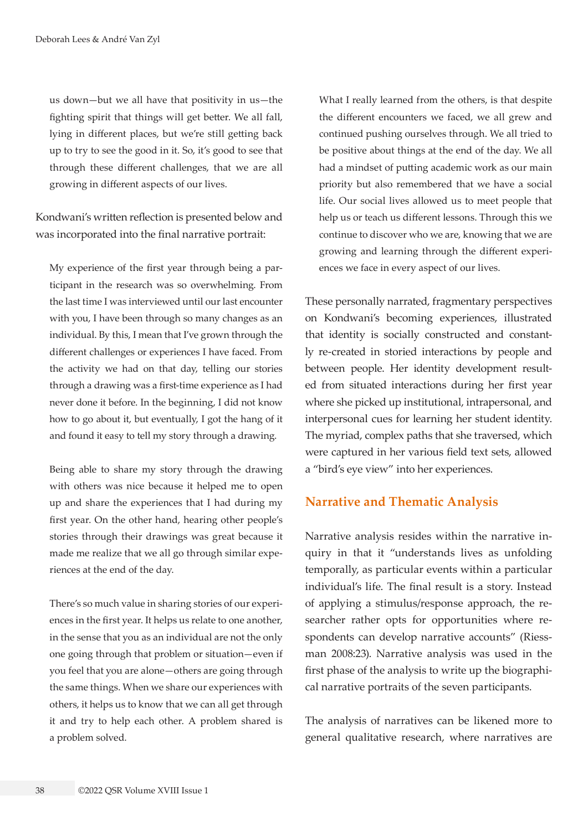us down—but we all have that positivity in us—the fighting spirit that things will get better. We all fall, lying in different places, but we're still getting back up to try to see the good in it. So, it's good to see that through these different challenges, that we are all growing in different aspects of our lives.

Kondwani's written reflection is presented below and was incorporated into the final narrative portrait:

My experience of the first year through being a participant in the research was so overwhelming. From the last time I was interviewed until our last encounter with you, I have been through so many changes as an individual. By this, I mean that I've grown through the different challenges or experiences I have faced. From the activity we had on that day, telling our stories through a drawing was a first-time experience as I had never done it before. In the beginning, I did not know how to go about it, but eventually, I got the hang of it and found it easy to tell my story through a drawing.

Being able to share my story through the drawing with others was nice because it helped me to open up and share the experiences that I had during my first year. On the other hand, hearing other people's stories through their drawings was great because it made me realize that we all go through similar experiences at the end of the day.

There's so much value in sharing stories of our experiences in the first year. It helps us relate to one another, in the sense that you as an individual are not the only one going through that problem or situation—even if you feel that you are alone—others are going through the same things. When we share our experiences with others, it helps us to know that we can all get through it and try to help each other. A problem shared is a problem solved.

What I really learned from the others, is that despite the different encounters we faced, we all grew and continued pushing ourselves through. We all tried to be positive about things at the end of the day. We all had a mindset of putting academic work as our main priority but also remembered that we have a social life. Our social lives allowed us to meet people that help us or teach us different lessons. Through this we continue to discover who we are, knowing that we are growing and learning through the different experiences we face in every aspect of our lives.

These personally narrated, fragmentary perspectives on Kondwani's becoming experiences, illustrated that identity is socially constructed and constantly re-created in storied interactions by people and between people. Her identity development resulted from situated interactions during her first year where she picked up institutional, intrapersonal, and interpersonal cues for learning her student identity. The myriad, complex paths that she traversed, which were captured in her various field text sets, allowed a "bird's eye view" into her experiences.

#### **Narrative and Thematic Analysis**

Narrative analysis resides within the narrative inquiry in that it "understands lives as unfolding temporally, as particular events within a particular individual's life. The final result is a story. Instead of applying a stimulus/response approach, the researcher rather opts for opportunities where respondents can develop narrative accounts" (Riessman 2008:23). Narrative analysis was used in the first phase of the analysis to write up the biographical narrative portraits of the seven participants.

The analysis of narratives can be likened more to general qualitative research, where narratives are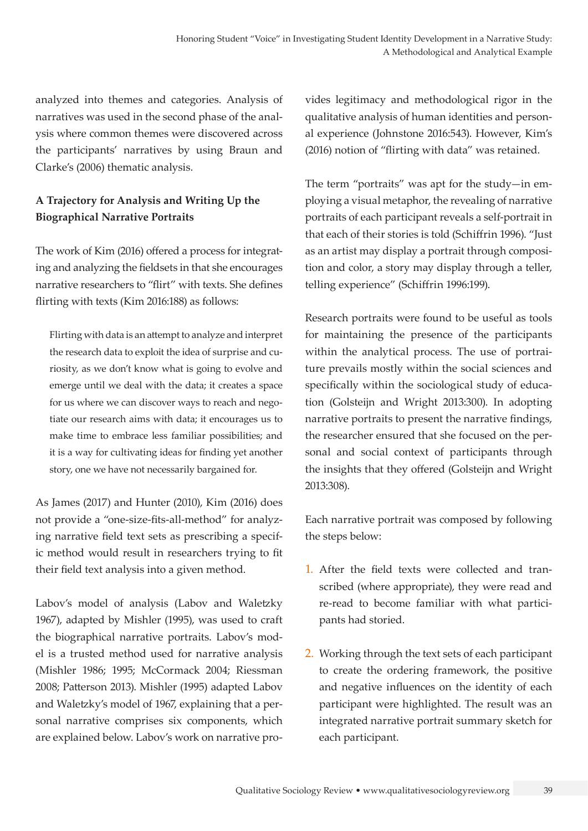analyzed into themes and categories. Analysis of narratives was used in the second phase of the analysis where common themes were discovered across the participants' narratives by using Braun and Clarke's (2006) thematic analysis.

# **A Trajectory for Analysis and Writing Up the Biographical Narrative Portraits**

The work of Kim (2016) offered a process for integrating and analyzing the fieldsets in that she encourages narrative researchers to "flirt" with texts. She defines flirting with texts (Kim 2016:188) as follows:

Flirting with data is an attempt to analyze and interpret the research data to exploit the idea of surprise and curiosity, as we don't know what is going to evolve and emerge until we deal with the data; it creates a space for us where we can discover ways to reach and negotiate our research aims with data; it encourages us to make time to embrace less familiar possibilities; and it is a way for cultivating ideas for finding yet another story, one we have not necessarily bargained for.

As James (2017) and Hunter (2010), Kim (2016) does not provide a "one-size-fits-all-method" for analyzing narrative field text sets as prescribing a specific method would result in researchers trying to fit their field text analysis into a given method.

Labov's model of analysis (Labov and Waletzky 1967), adapted by Mishler (1995), was used to craft the biographical narrative portraits. Labov's model is a trusted method used for narrative analysis (Mishler 1986; 1995; McCormack 2004; Riessman 2008; Patterson 2013). Mishler (1995) adapted Labov and Waletzky's model of 1967, explaining that a personal narrative comprises six components, which are explained below. Labov's work on narrative provides legitimacy and methodological rigor in the qualitative analysis of human identities and personal experience (Johnstone 2016:543). However, Kim's (2016) notion of "flirting with data" was retained.

The term "portraits" was apt for the study—in employing a visual metaphor, the revealing of narrative portraits of each participant reveals a self-portrait in that each of their stories is told (Schiffrin 1996). "Just as an artist may display a portrait through composition and color, a story may display through a teller, telling experience" (Schiffrin 1996:199).

Research portraits were found to be useful as tools for maintaining the presence of the participants within the analytical process. The use of portraiture prevails mostly within the social sciences and specifically within the sociological study of education (Golsteijn and Wright 2013:300). In adopting narrative portraits to present the narrative findings, the researcher ensured that she focused on the personal and social context of participants through the insights that they offered (Golsteijn and Wright 2013:308).

Each narrative portrait was composed by following the steps below:

- 1. After the field texts were collected and transcribed (where appropriate), they were read and re-read to become familiar with what participants had storied.
- 2. Working through the text sets of each participant to create the ordering framework, the positive and negative influences on the identity of each participant were highlighted. The result was an integrated narrative portrait summary sketch for each participant.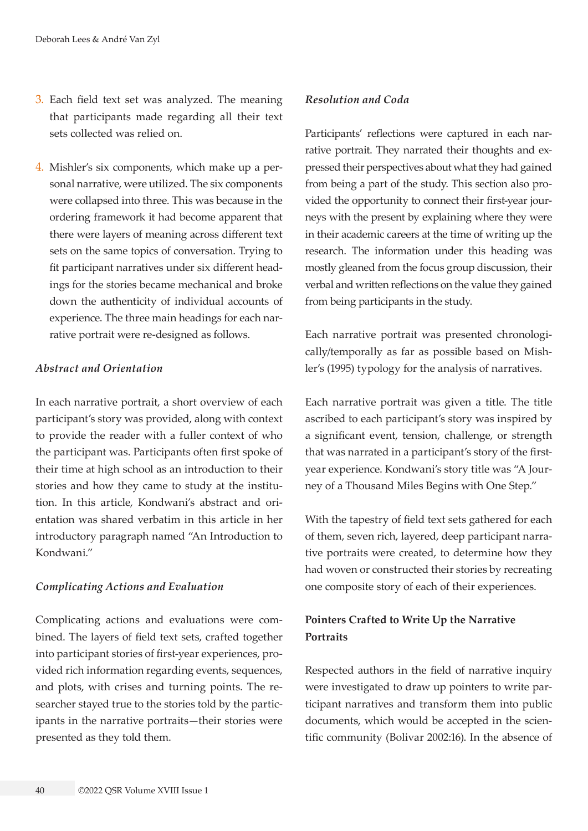- 3. Each field text set was analyzed. The meaning that participants made regarding all their text sets collected was relied on.
- 4. Mishler's six components, which make up a personal narrative, were utilized. The six components were collapsed into three. This was because in the ordering framework it had become apparent that there were layers of meaning across different text sets on the same topics of conversation. Trying to fit participant narratives under six different headings for the stories became mechanical and broke down the authenticity of individual accounts of experience. The three main headings for each narrative portrait were re-designed as follows.

#### *Abstract and Orientation*

In each narrative portrait, a short overview of each participant's story was provided, along with context to provide the reader with a fuller context of who the participant was. Participants often first spoke of their time at high school as an introduction to their stories and how they came to study at the institution. In this article, Kondwani's abstract and orientation was shared verbatim in this article in her introductory paragraph named "An Introduction to Kondwani."

#### *Complicating Actions and Evaluation*

Complicating actions and evaluations were combined. The layers of field text sets, crafted together into participant stories of first-year experiences, provided rich information regarding events, sequences, and plots, with crises and turning points. The researcher stayed true to the stories told by the participants in the narrative portraits—their stories were presented as they told them.

#### *Resolution and Coda*

Participants' reflections were captured in each narrative portrait. They narrated their thoughts and expressed their perspectives about what they had gained from being a part of the study. This section also provided the opportunity to connect their first-year journeys with the present by explaining where they were in their academic careers at the time of writing up the research. The information under this heading was mostly gleaned from the focus group discussion, their verbal and written reflections on the value they gained from being participants in the study.

Each narrative portrait was presented chronologically/temporally as far as possible based on Mishler's (1995) typology for the analysis of narratives.

Each narrative portrait was given a title. The title ascribed to each participant's story was inspired by a significant event, tension, challenge, or strength that was narrated in a participant's story of the firstyear experience. Kondwani's story title was "A Journey of a Thousand Miles Begins with One Step."

With the tapestry of field text sets gathered for each of them, seven rich, layered, deep participant narrative portraits were created, to determine how they had woven or constructed their stories by recreating one composite story of each of their experiences.

## **Pointers Crafted to Write Up the Narrative Portraits**

Respected authors in the field of narrative inquiry were investigated to draw up pointers to write participant narratives and transform them into public documents, which would be accepted in the scientific community (Bolivar 2002:16). In the absence of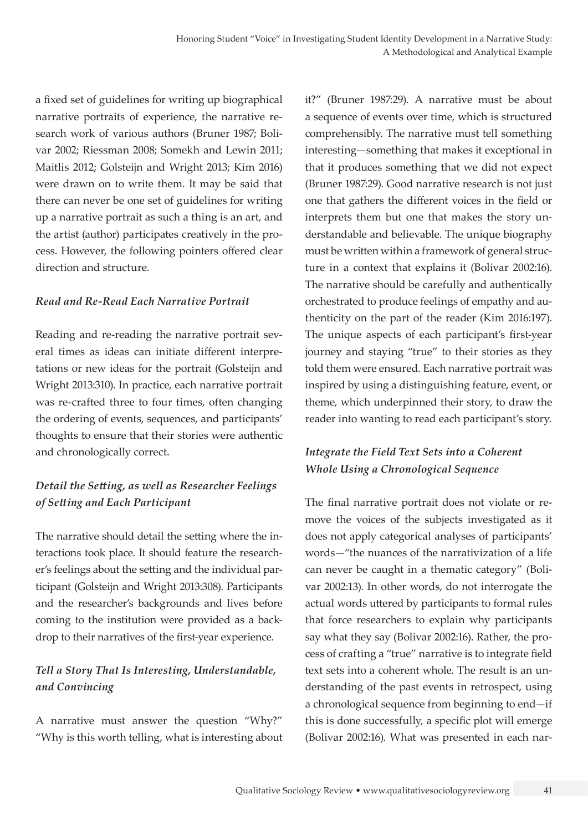a fixed set of guidelines for writing up biographical narrative portraits of experience, the narrative research work of various authors (Bruner 1987; Bolivar 2002; Riessman 2008; Somekh and Lewin 2011; Maitlis 2012; Golsteijn and Wright 2013; Kim 2016) were drawn on to write them. It may be said that there can never be one set of guidelines for writing up a narrative portrait as such a thing is an art, and the artist (author) participates creatively in the process. However, the following pointers offered clear direction and structure.

#### *Read and Re-Read Each Narrative Portrait*

Reading and re-reading the narrative portrait several times as ideas can initiate different interpretations or new ideas for the portrait (Golsteijn and Wright 2013:310). In practice, each narrative portrait was re-crafted three to four times, often changing the ordering of events, sequences, and participants' thoughts to ensure that their stories were authentic and chronologically correct.

# *Detail the Setting, as well as Researcher Feelings of Setting and Each Participant*

The narrative should detail the setting where the interactions took place. It should feature the researcher's feelings about the setting and the individual participant (Golsteijn and Wright 2013:308). Participants and the researcher's backgrounds and lives before coming to the institution were provided as a backdrop to their narratives of the first-year experience.

# *Tell a Story That Is Interesting, Understandable, and Convincing*

A narrative must answer the question "Why?" "Why is this worth telling, what is interesting about it?" (Bruner 1987:29). A narrative must be about a sequence of events over time, which is structured comprehensibly. The narrative must tell something interesting—something that makes it exceptional in that it produces something that we did not expect (Bruner 1987:29). Good narrative research is not just one that gathers the different voices in the field or interprets them but one that makes the story understandable and believable. The unique biography must be written within a framework of general structure in a context that explains it (Bolivar 2002:16). The narrative should be carefully and authentically orchestrated to produce feelings of empathy and authenticity on the part of the reader (Kim 2016:197). The unique aspects of each participant's first-year journey and staying "true" to their stories as they told them were ensured. Each narrative portrait was inspired by using a distinguishing feature, event, or theme, which underpinned their story, to draw the reader into wanting to read each participant's story.

# *Integrate the Field Text Sets into a Coherent Whole Using a Chronological Sequence*

The final narrative portrait does not violate or remove the voices of the subjects investigated as it does not apply categorical analyses of participants' words—"the nuances of the narrativization of a life can never be caught in a thematic category" (Bolivar 2002:13). In other words, do not interrogate the actual words uttered by participants to formal rules that force researchers to explain why participants say what they say (Bolivar 2002:16). Rather, the process of crafting a "true" narrative is to integrate field text sets into a coherent whole. The result is an understanding of the past events in retrospect, using a chronological sequence from beginning to end—if this is done successfully, a specific plot will emerge (Bolivar 2002:16). What was presented in each nar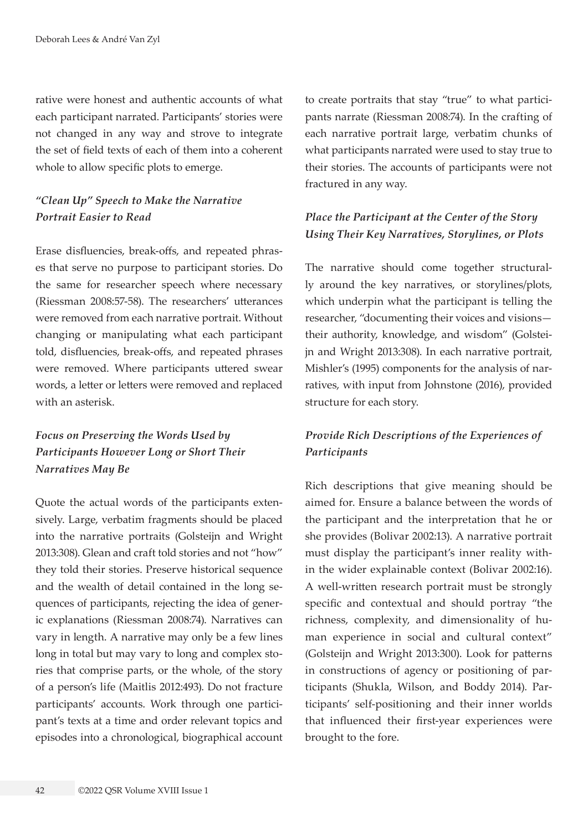rative were honest and authentic accounts of what each participant narrated. Participants' stories were not changed in any way and strove to integrate the set of field texts of each of them into a coherent whole to allow specific plots to emerge.

## *"Clean Up" Speech to Make the Narrative Portrait Easier to Read*

Erase disfluencies, break-offs, and repeated phrases that serve no purpose to participant stories. Do the same for researcher speech where necessary (Riessman 2008:57-58). The researchers' utterances were removed from each narrative portrait. Without changing or manipulating what each participant told, disfluencies, break-offs, and repeated phrases were removed. Where participants uttered swear words, a letter or letters were removed and replaced with an asterisk.

# *Focus on Preserving the Words Used by Participants However Long or Short Their Narratives May Be*

Quote the actual words of the participants extensively. Large, verbatim fragments should be placed into the narrative portraits (Golsteijn and Wright 2013:308). Glean and craft told stories and not "how" they told their stories. Preserve historical sequence and the wealth of detail contained in the long sequences of participants, rejecting the idea of generic explanations (Riessman 2008:74). Narratives can vary in length. A narrative may only be a few lines long in total but may vary to long and complex stories that comprise parts, or the whole, of the story of a person's life (Maitlis 2012:493). Do not fracture participants' accounts. Work through one participant's texts at a time and order relevant topics and episodes into a chronological, biographical account

to create portraits that stay "true" to what participants narrate (Riessman 2008:74). In the crafting of each narrative portrait large, verbatim chunks of what participants narrated were used to stay true to their stories. The accounts of participants were not fractured in any way.

## *Place the Participant at the Center of the Story Using Their Key Narratives, Storylines, or Plots*

The narrative should come together structurally around the key narratives, or storylines/plots, which underpin what the participant is telling the researcher, "documenting their voices and visions their authority, knowledge, and wisdom" (Golsteijn and Wright 2013:308). In each narrative portrait, Mishler's (1995) components for the analysis of narratives, with input from Johnstone (2016), provided structure for each story.

## *Provide Rich Descriptions of the Experiences of Participants*

Rich descriptions that give meaning should be aimed for. Ensure a balance between the words of the participant and the interpretation that he or she provides (Bolivar 2002:13). A narrative portrait must display the participant's inner reality within the wider explainable context (Bolivar 2002:16). A well-written research portrait must be strongly specific and contextual and should portray "the richness, complexity, and dimensionality of human experience in social and cultural context" (Golsteijn and Wright 2013:300). Look for patterns in constructions of agency or positioning of participants (Shukla, Wilson, and Boddy 2014). Participants' self-positioning and their inner worlds that influenced their first-year experiences were brought to the fore.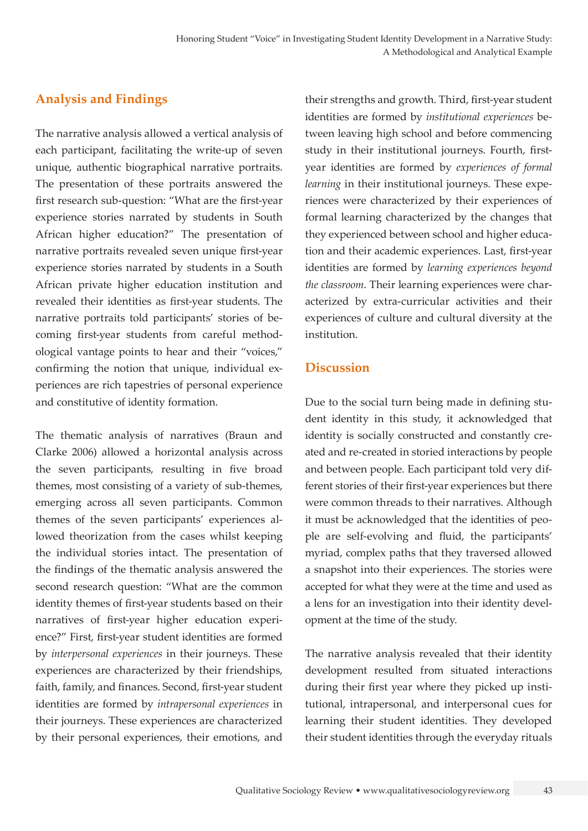# **Analysis and Findings**

The narrative analysis allowed a vertical analysis of each participant, facilitating the write-up of seven unique, authentic biographical narrative portraits. The presentation of these portraits answered the first research sub-question: "What are the first-year experience stories narrated by students in South African higher education?" The presentation of narrative portraits revealed seven unique first-year experience stories narrated by students in a South African private higher education institution and revealed their identities as first-year students. The narrative portraits told participants' stories of becoming first-year students from careful methodological vantage points to hear and their "voices," confirming the notion that unique, individual experiences are rich tapestries of personal experience and constitutive of identity formation.

The thematic analysis of narratives (Braun and Clarke 2006) allowed a horizontal analysis across the seven participants, resulting in five broad themes, most consisting of a variety of sub-themes, emerging across all seven participants. Common themes of the seven participants' experiences allowed theorization from the cases whilst keeping the individual stories intact. The presentation of the findings of the thematic analysis answered the second research question: "What are the common identity themes of first-year students based on their narratives of first-year higher education experience?" First, first-year student identities are formed by *interpersonal experiences* in their journeys. These experiences are characterized by their friendships, faith, family, and finances. Second, first-year student identities are formed by *intrapersonal experiences* in their journeys. These experiences are characterized by their personal experiences, their emotions, and

their strengths and growth. Third, first-year student identities are formed by *institutional experiences* between leaving high school and before commencing study in their institutional journeys. Fourth, firstyear identities are formed by *experiences of formal learning* in their institutional journeys. These experiences were characterized by their experiences of formal learning characterized by the changes that they experienced between school and higher education and their academic experiences. Last, first-year identities are formed by *learning experiences beyond the classroom*. Their learning experiences were characterized by extra-curricular activities and their experiences of culture and cultural diversity at the institution.

## **Discussion**

Due to the social turn being made in defining student identity in this study, it acknowledged that identity is socially constructed and constantly created and re-created in storied interactions by people and between people. Each participant told very different stories of their first-year experiences but there were common threads to their narratives. Although it must be acknowledged that the identities of people are self-evolving and fluid, the participants' myriad, complex paths that they traversed allowed a snapshot into their experiences. The stories were accepted for what they were at the time and used as a lens for an investigation into their identity development at the time of the study.

The narrative analysis revealed that their identity development resulted from situated interactions during their first year where they picked up institutional, intrapersonal, and interpersonal cues for learning their student identities. They developed their student identities through the everyday rituals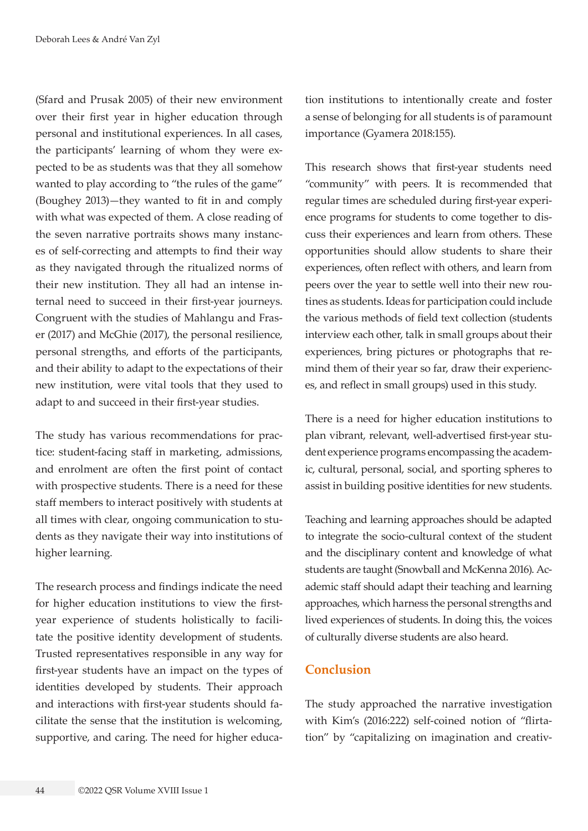(Sfard and Prusak 2005) of their new environment over their first year in higher education through personal and institutional experiences. In all cases, the participants' learning of whom they were expected to be as students was that they all somehow wanted to play according to "the rules of the game" (Boughey 2013)—they wanted to fit in and comply with what was expected of them. A close reading of the seven narrative portraits shows many instances of self-correcting and attempts to find their way as they navigated through the ritualized norms of their new institution. They all had an intense internal need to succeed in their first-year journeys. Congruent with the studies of Mahlangu and Fraser (2017) and McGhie (2017), the personal resilience, personal strengths, and efforts of the participants, and their ability to adapt to the expectations of their new institution, were vital tools that they used to adapt to and succeed in their first-year studies.

The study has various recommendations for practice: student-facing staff in marketing, admissions, and enrolment are often the first point of contact with prospective students. There is a need for these staff members to interact positively with students at all times with clear, ongoing communication to students as they navigate their way into institutions of higher learning.

The research process and findings indicate the need for higher education institutions to view the firstyear experience of students holistically to facilitate the positive identity development of students. Trusted representatives responsible in any way for first-year students have an impact on the types of identities developed by students. Their approach and interactions with first-year students should facilitate the sense that the institution is welcoming, supportive, and caring. The need for higher educa-

tion institutions to intentionally create and foster a sense of belonging for all students is of paramount importance (Gyamera 2018:155).

This research shows that first-year students need "community" with peers. It is recommended that regular times are scheduled during first-year experience programs for students to come together to discuss their experiences and learn from others. These opportunities should allow students to share their experiences, often reflect with others, and learn from peers over the year to settle well into their new routines as students. Ideas for participation could include the various methods of field text collection (students interview each other, talk in small groups about their experiences, bring pictures or photographs that remind them of their year so far, draw their experiences, and reflect in small groups) used in this study.

There is a need for higher education institutions to plan vibrant, relevant, well-advertised first-year student experience programs encompassing the academic, cultural, personal, social, and sporting spheres to assist in building positive identities for new students.

Teaching and learning approaches should be adapted to integrate the socio-cultural context of the student and the disciplinary content and knowledge of what students are taught (Snowball and McKenna 2016). Academic staff should adapt their teaching and learning approaches, which harness the personal strengths and lived experiences of students. In doing this, the voices of culturally diverse students are also heard.

#### **Conclusion**

The study approached the narrative investigation with Kim's (2016:222) self-coined notion of "flirtation" by "capitalizing on imagination and creativ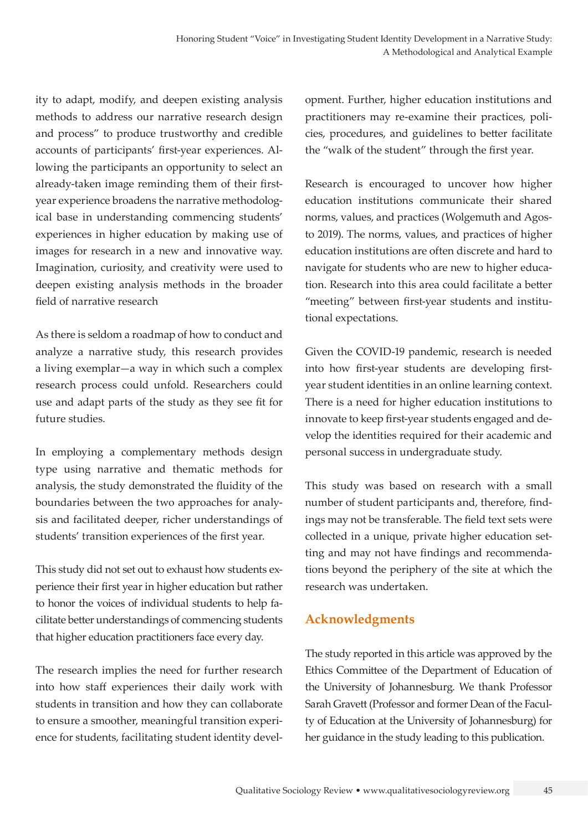ity to adapt, modify, and deepen existing analysis methods to address our narrative research design and process" to produce trustworthy and credible accounts of participants' first-year experiences. Allowing the participants an opportunity to select an already-taken image reminding them of their firstyear experience broadens the narrative methodological base in understanding commencing students' experiences in higher education by making use of images for research in a new and innovative way. Imagination, curiosity, and creativity were used to deepen existing analysis methods in the broader field of narrative research

As there is seldom a roadmap of how to conduct and analyze a narrative study, this research provides a living exemplar—a way in which such a complex research process could unfold. Researchers could use and adapt parts of the study as they see fit for future studies.

In employing a complementary methods design type using narrative and thematic methods for analysis, the study demonstrated the fluidity of the boundaries between the two approaches for analysis and facilitated deeper, richer understandings of students' transition experiences of the first year.

This study did not set out to exhaust how students experience their first year in higher education but rather to honor the voices of individual students to help facilitate better understandings of commencing students that higher education practitioners face every day.

The research implies the need for further research into how staff experiences their daily work with students in transition and how they can collaborate to ensure a smoother, meaningful transition experience for students, facilitating student identity development. Further, higher education institutions and practitioners may re-examine their practices, policies, procedures, and guidelines to better facilitate the "walk of the student" through the first year.

Research is encouraged to uncover how higher education institutions communicate their shared norms, values, and practices (Wolgemuth and Agosto 2019). The norms, values, and practices of higher education institutions are often discrete and hard to navigate for students who are new to higher education. Research into this area could facilitate a better "meeting" between first-year students and institutional expectations.

Given the COVID-19 pandemic, research is needed into how first-year students are developing firstyear student identities in an online learning context. There is a need for higher education institutions to innovate to keep first-year students engaged and develop the identities required for their academic and personal success in undergraduate study.

This study was based on research with a small number of student participants and, therefore, findings may not be transferable. The field text sets were collected in a unique, private higher education setting and may not have findings and recommendations beyond the periphery of the site at which the research was undertaken.

# **Acknowledgments**

The study reported in this article was approved by the Ethics Committee of the Department of Education of the University of Johannesburg. We thank Professor Sarah Gravett (Professor and former Dean of the Faculty of Education at the University of Johannesburg) for her guidance in the study leading to this publication.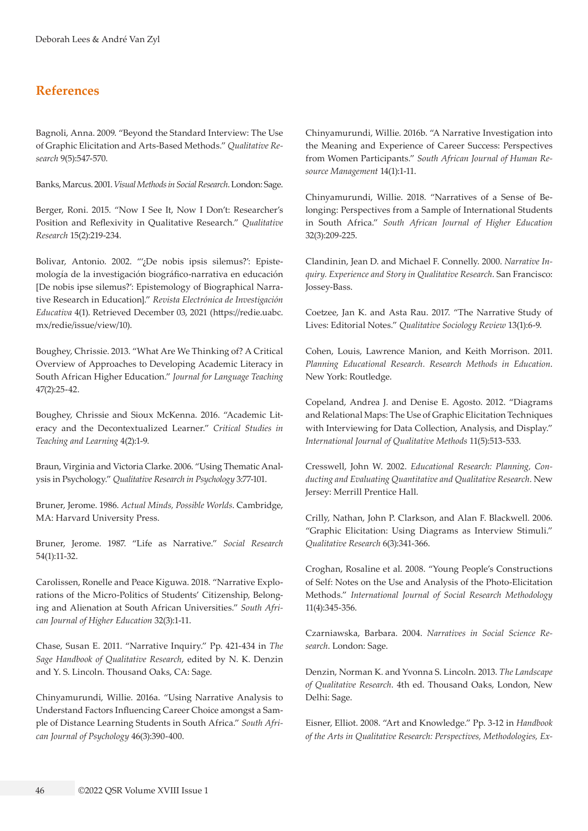#### **References**

Bagnoli, Anna. 2009. "Beyond the Standard Interview: The Use of Graphic Elicitation and Arts-Based Methods." *Qualitative Research* 9(5):547-570.

Banks, Marcus. 2001. *Visual Methods in Social Research*. London: Sage.

Berger, Roni. 2015. "Now I See It, Now I Don't: Researcher's Position and Reflexivity in Qualitative Research." *Qualitative Research* 15(2):219-234.

Bolivar, Antonio. 2002. "'¿De nobis ipsis silemus?': Epistemología de la investigación biográfico-narrativa en educación [De nobis ipse silemus?': Epistemology of Biographical Narrative Research in Education]." *Revista Electrónica de Investigación Educativa* 4(1). Retrieved December 03, 2021 ([https://redie.uabc.](https://redie.uabc.mx/redie/issue/view/10) [mx/redie/issue/view/10\)](https://redie.uabc.mx/redie/issue/view/10).

Boughey, Chrissie. 2013. "What Are We Thinking of? A Critical Overview of Approaches to Developing Academic Literacy in South African Higher Education." *Journal for Language Teaching* 47(2):25-42.

Boughey, Chrissie and Sioux McKenna. 2016. "Academic Literacy and the Decontextualized Learner." *Critical Studies in Teaching and Learning* 4(2):1-9.

Braun, Virginia and Victoria Clarke. 2006. "Using Thematic Analysis in Psychology." *Qualitative Research in Psychology* 3:77-101.

Bruner, Jerome. 1986. *Actual Minds, Possible Worlds*. Cambridge, MA: Harvard University Press.

Bruner, Jerome. 1987. "Life as Narrative." *Social Research* 54(1):11-32.

Carolissen, Ronelle and Peace Kiguwa. 2018. "Narrative Explorations of the Micro-Politics of Students' Citizenship, Belonging and Alienation at South African Universities." *South African Journal of Higher Education* 32(3):1-11.

Chase, Susan E. 2011. "Narrative Inquiry." Pp. 421-434 in *The Sage Handbook of Qualitative Research*, edited by N. K. Denzin and Y. S. Lincoln. Thousand Oaks, CA: Sage.

Chinyamurundi, Willie. 2016a. "Using Narrative Analysis to Understand Factors Influencing Career Choice amongst a Sample of Distance Learning Students in South Africa." *South African Journal of Psychology* 46(3):390-400.

Chinyamurundi, Willie. 2016b. "A Narrative Investigation into the Meaning and Experience of Career Success: Perspectives from Women Participants." *South African Journal of Human Resource Management* 14(1):1-11.

Chinyamurundi, Willie. 2018. "Narratives of a Sense of Belonging: Perspectives from a Sample of International Students in South Africa." *South African Journal of Higher Education* 32(3):209-225.

Clandinin, Jean D. and Michael F. Connelly. 2000. *Narrative Inquiry. Experience and Story in Qualitative Research*. San Francisco: Jossey-Bass.

Coetzee, Jan K. and Asta Rau. 2017. "The Narrative Study of Lives: Editorial Notes." *Qualitative Sociology Review* 13(1):6-9.

Cohen, Louis, Lawrence Manion, and Keith Morrison. 2011. *Planning Educational Research. Research Methods in Education*. New York: Routledge.

Copeland, Andrea J. and Denise E. Agosto. 2012. "Diagrams and Relational Maps: The Use of Graphic Elicitation Techniques with Interviewing for Data Collection, Analysis, and Display." *International Journal of Qualitative Methods* 11(5):513-533.

Cresswell, John W. 2002. *Educational Research: Planning, Conducting and Evaluating Quantitative and Qualitative Research*. New Jersey: Merrill Prentice Hall.

Crilly, Nathan, John P. Clarkson, and Alan F. Blackwell. 2006. "Graphic Elicitation: Using Diagrams as Interview Stimuli." *Qualitative Research* 6(3):341-366.

Croghan, Rosaline et al. 2008. "Young People's Constructions of Self: Notes on the Use and Analysis of the Photo-Elicitation Methods." *International Journal of Social Research Methodology* 11(4):345-356.

Czarniawska, Barbara. 2004. *Narratives in Social Science Research*. London: Sage.

Denzin, Norman K. and Yvonna S. Lincoln. 2013. *The Landscape of Qualitative Research*. 4th ed. Thousand Oaks, London, New Delhi: Sage.

Eisner, Elliot. 2008. "Art and Knowledge." Pp. 3-12 in *Handbook of the Arts in Qualitative Research: Perspectives, Methodologies, Ex-*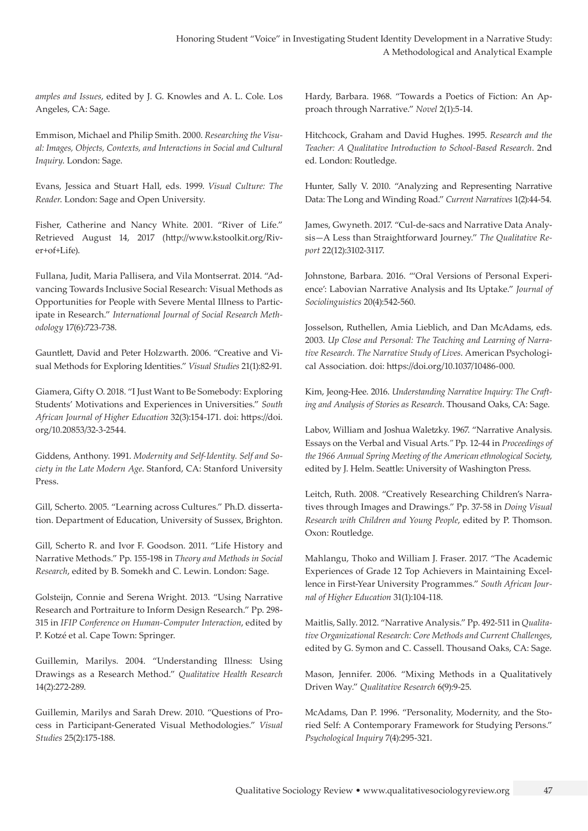*amples and Issues*, edited by J. G. Knowles and A. L. Cole. Los Angeles, CA: Sage.

Emmison, Michael and Philip Smith. 2000. *Researching the Visual: Images, Objects, Contexts, and Interactions in Social and Cultural Inquiry*. London: Sage.

Evans, Jessica and Stuart Hall, eds. 1999. *Visual Culture: The Reader*. London: Sage and Open University.

Fisher, Catherine and Nancy White. 2001. "River of Life." Retrieved August 14, 2017 ([http://www.kstoolkit.org/Riv](http://www.kstoolkit.org/River+of+Life)[er+of+Life](http://www.kstoolkit.org/River+of+Life)).

Fullana, Judit, Maria Pallisera, and Vila Montserrat. 2014. "Advancing Towards Inclusive Social Research: Visual Methods as Opportunities for People with Severe Mental Illness to Participate in Research." *International Journal of Social Research Methodology* 17(6):723-738.

Gauntlett, David and Peter Holzwarth. 2006. "Creative and Visual Methods for Exploring Identities." *Visual Studies* 21(1):82-91.

Giamera, Gifty O. 2018. "I Just Want to Be Somebody: Exploring Students' Motivations and Experiences in Universities." *South African Journal of Higher Education* 32(3):154-171. doi: [https://doi.](https://doi.org/10.20853/32-3-2544) [org/10.20853/32-3-2544.](https://doi.org/10.20853/32-3-2544)

Giddens, Anthony. 1991. *Modernity and Self-Identity. Self and Society in the Late Modern Age*. Stanford, CA: Stanford University Press.

Gill, Scherto. 2005. "Learning across Cultures." Ph.D. dissertation. Department of Education, University of Sussex, Brighton.

Gill, Scherto R. and Ivor F. Goodson. 2011. "Life History and Narrative Methods." Pp. 155-198 in *Theory and Methods in Social Research*, edited by B. Somekh and C. Lewin. London: Sage.

Golsteijn, Connie and Serena Wright. 2013. "Using Narrative Research and Portraiture to Inform Design Research." Pp. 298- 315 in *IFIP Conference on Human-Computer Interaction*, edited by P. Kotzé et al. Cape Town: Springer.

Guillemin, Marilys. 2004. "Understanding Illness: Using Drawings as a Research Method." *Qualitative Health Research*  14(2):272-289.

Guillemin, Marilys and Sarah Drew. 2010. "Questions of Process in Participant-Generated Visual Methodologies." *Visual Studies* 25(2):175-188.

Hardy, Barbara. 1968. "Towards a Poetics of Fiction: An Approach through Narrative." *Novel* 2(1):5-14.

Hitchcock, Graham and David Hughes. 1995. *Research and the Teacher: A Qualitative Introduction to School-Based Research*. 2nd ed. London: Routledge.

Hunter, Sally V. 2010. "Analyzing and Representing Narrative Data: The Long and Winding Road." *Current Narratives* 1(2):44-54.

James, Gwyneth. 2017. "Cul-de-sacs and Narrative Data Analysis—A Less than Straightforward Journey." *The Qualitative Report* 22(12):3102-3117.

Johnstone, Barbara. 2016. "'Oral Versions of Personal Experience': Labovian Narrative Analysis and Its Uptake." *Journal of Sociolinguistics* 20(4):542-560.

Josselson, Ruthellen, Amia Lieblich, and Dan McAdams, eds. 2003. *Up Close and Personal: The Teaching and Learning of Narrative Research. The Narrative Study of Lives*. American Psychological Association. doi: https://doi.org/10.1037/10486-000.

Kim, Jeong-Hee. 2016. *Understanding Narrative Inquiry: The Crafting and Analysis of Stories as Research*. Thousand Oaks, CA: Sage.

Labov, William and Joshua Waletzky. 1967. "Narrative Analysis. Essays on the Verbal and Visual Arts*."* Pp. 12-44 in *Proceedings of the 1966 Annual Spring Meeting of the American ethnological Society*, edited by J. Helm. Seattle: University of Washington Press.

Leitch, Ruth. 2008. "Creatively Researching Children's Narratives through Images and Drawings." Pp. 37-58 in *Doing Visual Research with Children and Young People*, edited by P. Thomson. Oxon: Routledge.

Mahlangu, Thoko and William J. Fraser. 2017. "The Academic Experiences of Grade 12 Top Achievers in Maintaining Excellence in First-Year University Programmes." *South African Journal of Higher Education* 31(1):104-118.

Maitlis, Sally. 2012. "Narrative Analysis." Pp. 492-511 in *Qualitative Organizational Research: Core Methods and Current Challenges*, edited by G. Symon and C. Cassell. Thousand Oaks, CA: Sage.

Mason, Jennifer. 2006. "Mixing Methods in a Qualitatively Driven Way." *Qualitative Research* 6(9):9-25.

McAdams, Dan P. 1996. "Personality, Modernity, and the Storied Self: A Contemporary Framework for Studying Persons." *Psychological Inquiry* 7(4):295-321.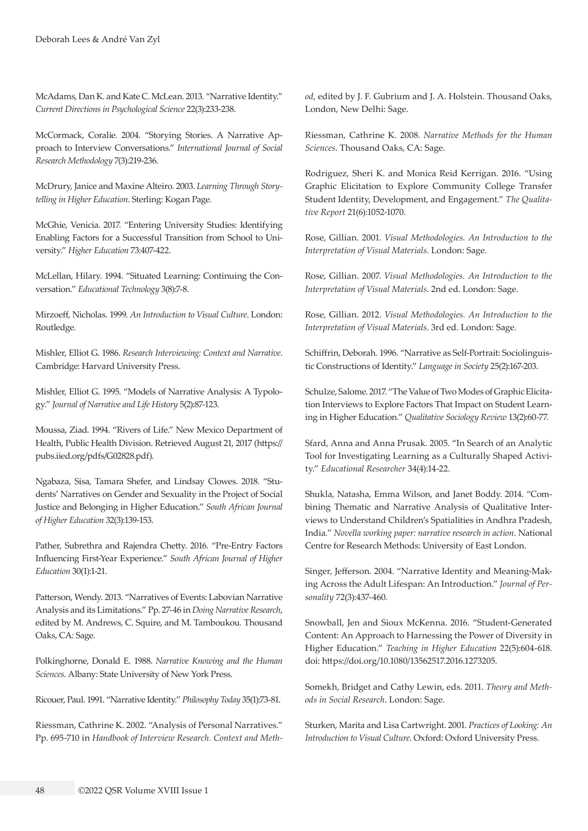McAdams, Dan K. and Kate C. McLean. 2013. "Narrative Identity." *Current Directions in Psychological Science* 22(3):233-238.

McCormack, Coralie. 2004. "Storying Stories. A Narrative Approach to Interview Conversations." *International Journal of Social Research Methodology* 7(3):219-236.

McDrury, Janice and Maxine Alteiro. 2003. *Learning Through Storytelling in Higher Education*. Sterling: Kogan Page.

McGhie, Venicia. 2017. "Entering University Studies: Identifying Enabling Factors for a Successful Transition from School to University." *Higher Education* 73:407-422.

McLellan, Hilary. 1994. "Situated Learning: Continuing the Conversation." *Educational Technology* 3(8):7-8.

Mirzoeff, Nicholas. 1999. *An Introduction to Visual Culture*. London: Routledge.

Mishler, Elliot G. 1986. *Research Interviewing: Context and Narrative*. Cambridge: Harvard University Press.

Mishler, Elliot G. 1995. "Models of Narrative Analysis: A Typology." *Journal of Narrative and Life History* 5(2):87-123.

Moussa, Ziad. 1994. "Rivers of Life." New Mexico Department of Health, Public Health Division. Retrieved August 21, 2017 [\(https://](https://pubs.iied.org/pdfs/G02828.pdf) [pubs.iied.org/pdfs/G02828.pdf](https://pubs.iied.org/pdfs/G02828.pdf)).

Ngabaza, Sisa, Tamara Shefer, and Lindsay Clowes. 2018. "Students' Narratives on Gender and Sexuality in the Project of Social Justice and Belonging in Higher Education." *South African Journal of Higher Education* 32(3):139-153.

Pather, Subrethra and Rajendra Chetty. 2016. "Pre-Entry Factors Influencing First-Year Experience." *South African Journal of Higher Education* 30(1):1-21.

Patterson, Wendy. 2013. "Narratives of Events: Labovian Narrative Analysis and its Limitations." Pp. 27-46 in *Doing Narrative Research*, edited by M. Andrews, C. Squire, and M. Tamboukou*.* Thousand Oaks, CA: Sage.

Polkinghorne, Donald E. 1988. *Narrative Knowing and the Human Sciences*. Albany: State University of New York Press.

Ricouer, Paul. 1991. "Narrative Identity." *Philosophy Today* 35(1):73-81.

Riessman, Cathrine K. 2002. "Analysis of Personal Narratives." Pp. 695-710 in *Handbook of Interview Research. Context and Meth-* *od*, edited by J. F. Gubrium and J. A. Holstein. Thousand Oaks, London, New Delhi: Sage.

Riessman, Cathrine K. 2008. *Narrative Methods for the Human Sciences*. Thousand Oaks, CA: Sage.

Rodriguez, Sheri K. and Monica Reid Kerrigan. 2016. "Using Graphic Elicitation to Explore Community College Transfer Student Identity, Development, and Engagement." *The Qualitative Report* 21(6):1052-1070.

Rose, Gillian. 2001. *Visual Methodologies. An Introduction to the Interpretation of Visual Materials*. London: Sage.

Rose, Gillian. 2007. *Visual Methodologies. An Introduction to the Interpretation of Visual Materials*. 2nd ed. London: Sage.

Rose, Gillian. 2012. *Visual Methodologies. An Introduction to the Interpretation of Visual Materials*. 3rd ed. London: Sage.

Schiffrin, Deborah. 1996. "Narrative as Self-Portrait: Sociolinguistic Constructions of Identity." *Language in Society* 25(2):167-203.

Schulze, Salome. 2017. "The Value of Two Modes of Graphic Elicitation Interviews to Explore Factors That Impact on Student Learning in Higher Education." *Qualitative Sociology Review* 13(2):60-77.

Sfard, Anna and Anna Prusak. 2005. "In Search of an Analytic Tool for Investigating Learning as a Culturally Shaped Activity." *Educational Researcher* 34(4):14-22.

Shukla, Natasha, Emma Wilson, and Janet Boddy. 2014. "Combining Thematic and Narrative Analysis of Qualitative Interviews to Understand Children's Spatialities in Andhra Pradesh, India*.*" *Novella working paper: narrative research in action*. National Centre for Research Methods: University of East London.

Singer, Jefferson. 2004. "Narrative Identity and Meaning-Making Across the Adult Lifespan: An Introduction." *Journal of Personality* 72(3):437-460.

Snowball, Jen and Sioux McKenna. 2016. "Student-Generated Content: An Approach to Harnessing the Power of Diversity in Higher Education." *Teaching in Higher Education* 22(5):604-618. doi: https://doi.org/10.1080/13562517.2016.1273205.

Somekh, Bridget and Cathy Lewin, eds. 2011. *Theory and Methods in Social Research*. London: Sage.

Sturken, Marita and Lisa Cartwright. 2001. *Practices of Looking: An Introduction to Visual Culture*. Oxford: Oxford University Press.